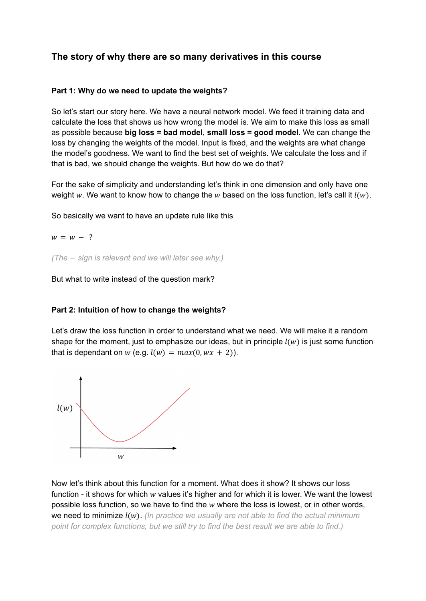# **The story of why there are so many derivatives in this course**

# **Part 1: Why do we need to update the weights?**

So let's start our story here. We have a neural network model. We feed it training data and calculate the loss that shows us how wrong the model is. We aim to make this loss as small as possible because **big loss = bad model**, **small loss = good model**. We can change the loss by changing the weights of the model. Input is fixed, and the weights are what change the model's goodness. We want to find the best set of weights. We calculate the loss and if that is bad, we should change the weights. But how do we do that?

For the sake of simplicity and understanding let's think in one dimension and only have one weight w. We want to know how to change the w based on the loss function, let's call it  $l(w)$ .

So basically we want to have an update rule like this

 $w = w - ?$ 

*(The* − *sign is relevant and we will later see why.)*

But what to write instead of the question mark?

### **Part 2: Intuition of how to change the weights?**

Let's draw the loss function in order to understand what we need. We will make it a random shape for the moment, just to emphasize our ideas, but in principle  $l(w)$  is just some function that is dependant on  $w$  (e.g.  $l(w) = max(0, wx + 2)$ ).



Now let's think about this function for a moment. What does it show? It shows our loss function - it shows for which  $w$  values it's higher and for which it is lower. We want the lowest possible loss function, so we have to find the  $w$  where the loss is lowest, or in other words, we need to minimize (). *(In practice we usually are not able to find the actual minimum point for complex functions, but we still try to find the best result we are able to find.)*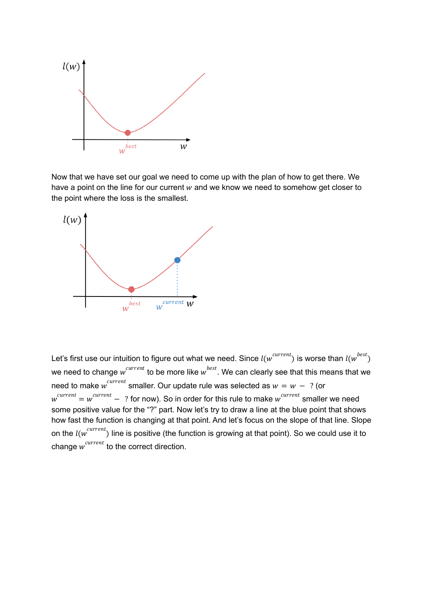

Now that we have set our goal we need to come up with the plan of how to get there. We have a point on the line for our current  $w$  and we know we need to somehow get closer to the point where the loss is the smallest.



Let's first use our intuition to figure out what we need. Since  $l(w^{current})$  is worse than  $l(w^{best})$ we need to change  $w^{current}$  to be more like  $w^{best}$ . We can clearly see that this means that we need to make  $w^{current}$  smaller. Our update rule was selected as  $w = w - ?$  (or  $w^{current} = w^{current} - ?$  for now). So in order for this rule to make  $w^{current}$  smaller we need some positive value for the "?" part. Now let's try to draw a line at the blue point that shows how fast the function is changing at that point. And let's focus on the slope of that line. Slope on the  $l(w^{current})$  line is positive (the function is growing at that point). So we could use it to change  $w^{current}$  to the correct direction.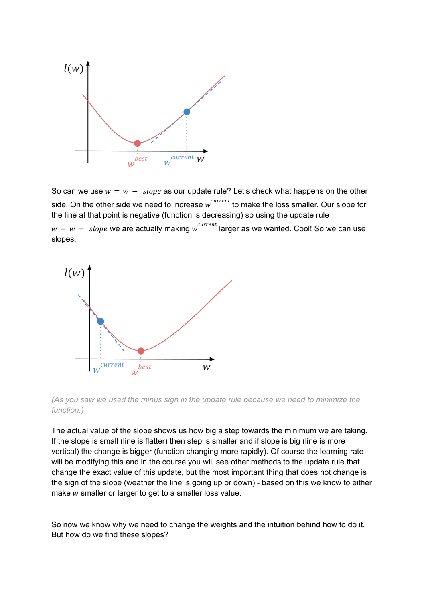

So can we use  $w = w - slope$  as our update rule? Let's check what happens on the other side. On the other side we need to increase  $w^{current}$  to make the loss smaller. Our slope for the line at that point is negative (function is decreasing) so using the update rule  $w = w - slope$  we are actually making  $w^{current}$  larger as we wanted. Cool! So we can use slopes.



*(As you saw we used the minus sign in the update rule because we need to minimize the function.)*

The actual value of the slope shows us how big a step towards the minimum we are taking. If the slope is small (line is flatter) then step is smaller and if slope is big (line is more vertical) the change is bigger (function changing more rapidly). Of course the learning rate will be modifying this and in the course you will see other methods to the update rule that change the exact value of this update, but the most important thing that does not change is the sign of the slope (weather the line is going up or down) - based on this we know to either make  $w$  smaller or larger to get to a smaller loss value.

So now we know why we need to change the weights and the intuition behind how to do it. But how do we find these slopes?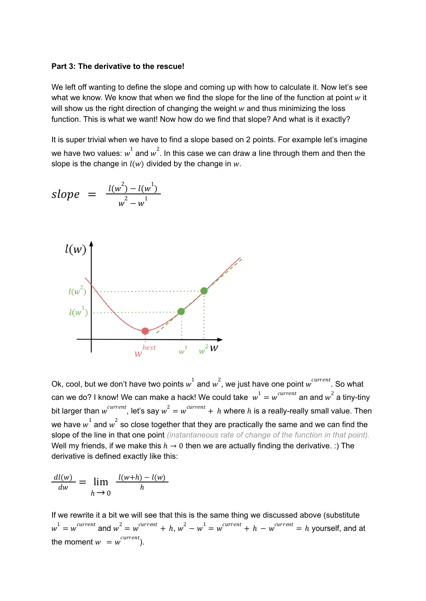#### **Part 3: The derivative to the rescue!**

We left off wanting to define the slope and coming up with how to calculate it. Now let's see what we know. We know that when we find the slope for the line of the function at point  $w$  it will show us the right direction of changing the weight  $w$  and thus minimizing the loss function. This is what we want! Now how do we find that slope? And what is it exactly?

It is super trivial when we have to find a slope based on 2 points. For example let's imagine we have two values:  $w^1$  and  $w^2$ . In this case we can draw a line through them and then the slope is the change in  $l(w)$  divided by the change in  $w$ .

$$
slope = \frac{l(w^2) - l(w^1)}{w^2 - w^1}
$$



Ok, cool, but we don't have two points  $w^1$  and  $w^2$ , we just have one point  $w^{current}$ . So what can we do? I know! We can make a hack! We could take  $\;\;w^1=w^{current}$  an and  $w^2$  a tiny-tiny bit larger than  $w^{current}$ , let's say  $w^2 = w^{current} + h$  where  $h$  is a really-really small value. Then we have  $w^1$  and  $w^2$  so close together that they are practically the same and we can find the slope of the line in that one point *(instantaneous rate of change of the function in that point).* Well my friends, if we make this  $h \to 0$  then we are actually finding the derivative. :) The derivative is defined exactly like this:

$$
\frac{dl(w)}{dw} = \lim_{h \to 0} \frac{l(w+h) - l(w)}{h}
$$

If we rewrite it a bit we will see that this is the same thing we discussed above (substitute  $w^1 = w^{current}$  and  $w^2 = w^{current} + h$ ,  $w^2 - w^1 = w^{current} + h - w^{current} = h$  yourself, and at the moment  $w = w^{current}$ ).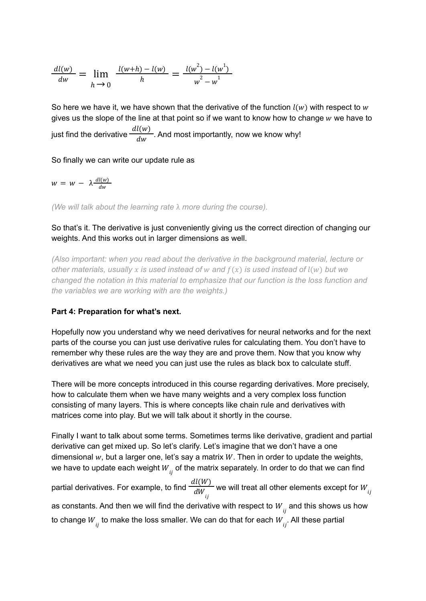$$
\frac{dl(w)}{dw} = \lim_{h \to 0} \frac{l(w+h) - l(w)}{h} = \frac{l(w^2) - l(w^1)}{w^2 - w^1}
$$

So here we have it, we have shown that the derivative of the function  $l(w)$  with respect to w gives us the slope of the line at that point so if we want to know how to change  $w$  we have to just find the derivative  $\frac{dl(w)}{dw}$ . And most importantly, now we know why! dw

So finally we can write our update rule as

$$
w = w - \lambda \frac{dl(w)}{dw}
$$

*(We will talk about the learning rate* λ *more during the course).*

# So that's it. The derivative is just conveniently giving us the correct direction of changing our weights. And this works out in larger dimensions as well.

*(Also important: when you read about the derivative in the background material, lecture or other materials, usually is used instead of and* () *is used instead of* () *but we changed the notation in this material to emphasize that our function is the loss function and the variables we are working with are the weights.)*

### **Part 4: Preparation for what's next.**

Hopefully now you understand why we need derivatives for neural networks and for the next parts of the course you can just use derivative rules for calculating them. You don't have to remember why these rules are the way they are and prove them. Now that you know why derivatives are what we need you can just use the rules as black box to calculate stuff.

There will be more concepts introduced in this course regarding derivatives. More precisely, how to calculate them when we have many weights and a very complex loss function consisting of many layers. This is where concepts like chain rule and derivatives with matrices come into play. But we will talk about it shortly in the course.

Finally I want to talk about some terms. Sometimes terms like derivative, gradient and partial derivative can get mixed up. So let's clarify. Let's imagine that we don't have a one dimensional  $w$ , but a larger one, let's say a matrix  $W$ . Then in order to update the weights, we have to update each weight  $W_{\overrightarrow{ij}}$  of the matrix separately. In order to do that we can find

partial derivatives. For example, to find  $\frac{dl(W)}{dW}$  we will treat all other elements except for  $dW_{ij}$  $W_{ij}$ as constants. And then we will find the derivative with respect to  $W_{\overrightarrow{ij}}$  and this shows us how to change  $W_{_{ij}}$  to make the loss smaller. We can do that for each  $W_{_{ij}}$ . All these partial